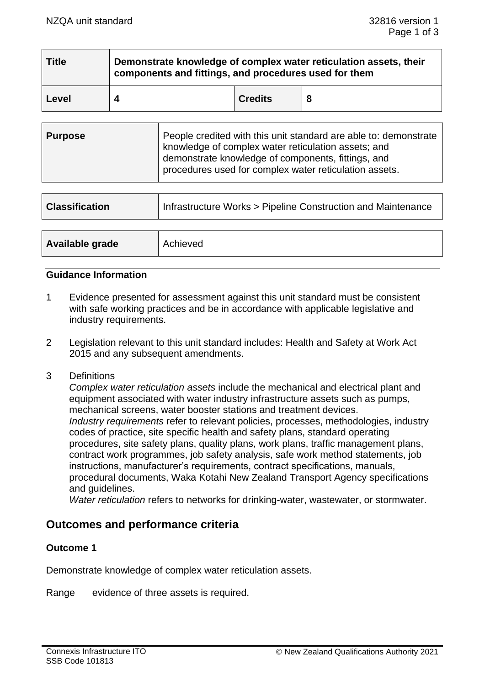| <b>Title</b> | Demonstrate knowledge of complex water reticulation assets, their<br>components and fittings, and procedures used for them |                |  |  |
|--------------|----------------------------------------------------------------------------------------------------------------------------|----------------|--|--|
| Level        |                                                                                                                            | <b>Credits</b> |  |  |

| <b>Classification</b> | Infrastructure Works > Pipeline Construction and Maintenance |  |
|-----------------------|--------------------------------------------------------------|--|
|                       |                                                              |  |
| Available grade       | Achieved                                                     |  |

# **Guidance Information**

- 1 Evidence presented for assessment against this unit standard must be consistent with safe working practices and be in accordance with applicable legislative and industry requirements.
- 2 Legislation relevant to this unit standard includes: Health and Safety at Work Act 2015 and any subsequent amendments.
- 3 Definitions

*Complex water reticulation assets* include the mechanical and electrical plant and equipment associated with water industry infrastructure assets such as pumps, mechanical screens, water booster stations and treatment devices. *Industry requirements* refer to relevant policies, processes, methodologies, industry codes of practice, site specific health and safety plans, standard operating procedures, site safety plans, quality plans, work plans, traffic management plans, contract work programmes, job safety analysis, safe work method statements, job instructions, manufacturer's requirements, contract specifications, manuals, procedural documents, Waka Kotahi New Zealand Transport Agency specifications and guidelines.

*Water reticulation* refers to networks for drinking-water, wastewater, or stormwater.

# **Outcomes and performance criteria**

# **Outcome 1**

Demonstrate knowledge of complex water reticulation assets.

Range evidence of three assets is required.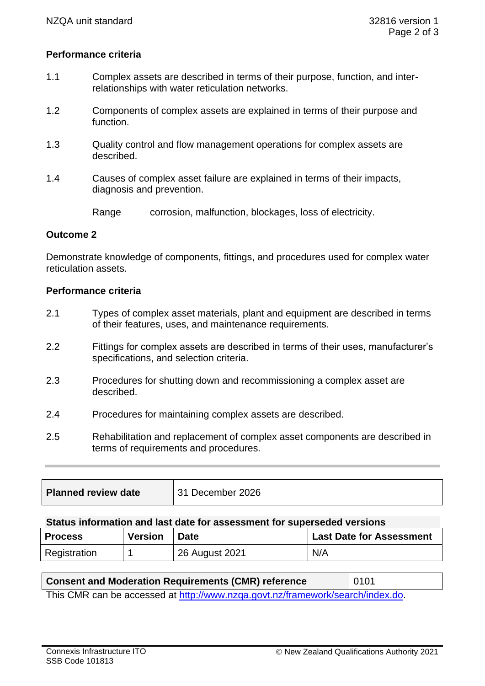# **Performance criteria**

- 1.1 Complex assets are described in terms of their purpose, function, and interrelationships with water reticulation networks.
- 1.2 Components of complex assets are explained in terms of their purpose and function.
- 1.3 Quality control and flow management operations for complex assets are described.
- 1.4 Causes of complex asset failure are explained in terms of their impacts, diagnosis and prevention.

Range corrosion, malfunction, blockages, loss of electricity.

#### **Outcome 2**

Demonstrate knowledge of components, fittings, and procedures used for complex water reticulation assets.

#### **Performance criteria**

- 2.1 Types of complex asset materials, plant and equipment are described in terms of their features, uses, and maintenance requirements.
- 2.2 Fittings for complex assets are described in terms of their uses, manufacturer's specifications, and selection criteria.
- 2.3 Procedures for shutting down and recommissioning a complex asset are described.
- 2.4 Procedures for maintaining complex assets are described.
- 2.5 Rehabilitation and replacement of complex asset components are described in terms of requirements and procedures.

| <b>Planned review date</b> | 31 December 2026 |
|----------------------------|------------------|
|                            |                  |

#### **Status information and last date for assessment for superseded versions**

| <b>Process</b> | <b>Version</b> | <b>Date</b>    | <b>Last Date for Assessment</b> |
|----------------|----------------|----------------|---------------------------------|
| Registration   |                | 26 August 2021 | N/A                             |

| <b>Consent and Moderation Requirements (CMR) reference</b>                     | $\vert$ 0101 |  |  |
|--------------------------------------------------------------------------------|--------------|--|--|
| This CMR can be accessed at http://www.nzga.govt.nz/framework/search/index.do. |              |  |  |